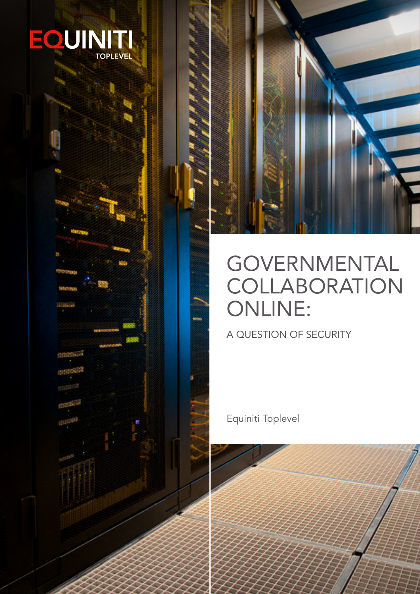



# GOVERNMENTAL **COLLABORATION** ONLINE:

A QUESTION OF SECURITY

Equiniti Toplevel

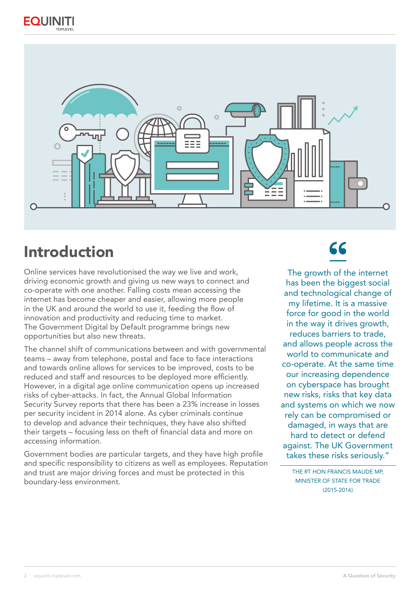



## Introduction

Online services have revolutionised the way we live and work, driving economic growth and giving us new ways to connect and co-operate with one another. Falling costs mean accessing the internet has become cheaper and easier, allowing more people in the UK and around the world to use it, feeding the flow of innovation and productivity and reducing time to market. The Government Digital by Default programme brings new opportunities but also new threats.

The channel shift of communications between and with governmental teams – away from telephone, postal and face to face interactions and towards online allows for services to be improved, costs to be reduced and staff and resources to be deployed more efficiently. However, in a digital age online communication opens up increased risks of cyber-attacks. In fact, the Annual Global Information Security Survey reports that there has been a 23% increase in losses per security incident in 2014 alone. As cyber criminals continue to develop and advance their techniques, they have also shifted their targets – focusing less on theft of financial data and more on accessing information.

Government bodies are particular targets, and they have high profile and specific responsibility to citizens as well as employees. Reputation and trust are major driving forces and must be protected in this boundary-less environment.

## 66

The growth of the internet has been the biggest social and technological change of my lifetime. It is a massive force for good in the world in the way it drives growth, reduces barriers to trade, and allows people across the world to communicate and co-operate. At the same time our increasing dependence on cyberspace has brought new risks, risks that key data and systems on which we now rely can be compromised or damaged, in ways that are hard to detect or defend against. The UK Government takes these risks seriously."

THE RT HON FRANCIS MAUDE MP, MINISTER OF STATE FOR TRADE (2015-2016)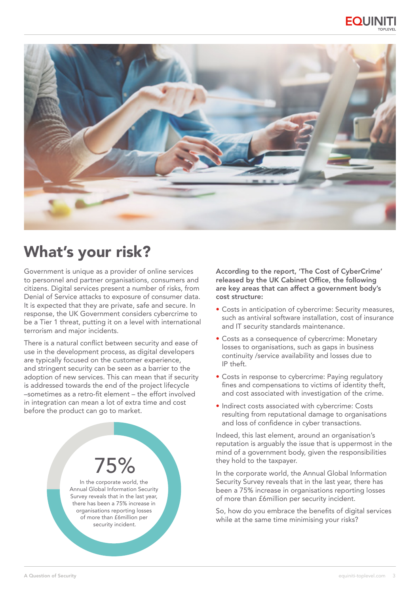



## What's your risk?

Government is unique as a provider of online services to personnel and partner organisations, consumers and citizens. Digital services present a number of risks, from Denial of Service attacks to exposure of consumer data. It is expected that they are private, safe and secure. In response, the UK Government considers cybercrime to be a Tier 1 threat, putting it on a level with international terrorism and major incidents.

There is a natural conflict between security and ease of use in the development process, as digital developers are typically focused on the customer experience, and stringent security can be seen as a barrier to the adoption of new services. This can mean that if security is addressed towards the end of the project lifecycle –sometimes as a retro-fit element – the effort involved in integration can mean a lot of extra time and cost before the product can go to market.



In the corporate world, the Annual Global Information Security Survey reveals that in the last year, there has been a 75% increase in organisations reporting losses of more than £6million per security incident.

According to the report, 'The Cost of CyberCrime' released by the UK Cabinet Office, the following are key areas that can affect a government body's cost structure:

- Costs in anticipation of cybercrime: Security measures, such as antiviral software installation, cost of insurance and IT security standards maintenance.
- Costs as a consequence of cybercrime: Monetary losses to organisations, such as gaps in business continuity /service availability and losses due to IP theft.
- Costs in response to cybercrime: Paying regulatory fines and compensations to victims of identity theft, and cost associated with investigation of the crime.
- Indirect costs associated with cybercrime: Costs resulting from reputational damage to organisations and loss of confidence in cyber transactions.

Indeed, this last element, around an organisation's reputation is arguably the issue that is uppermost in the mind of a government body, given the responsibilities they hold to the taxpayer.

In the corporate world, the Annual Global Information Security Survey reveals that in the last year, there has been a 75% increase in organisations reporting losses of more than £6million per security incident.

So, how do you embrace the benefits of digital services while at the same time minimising your risks?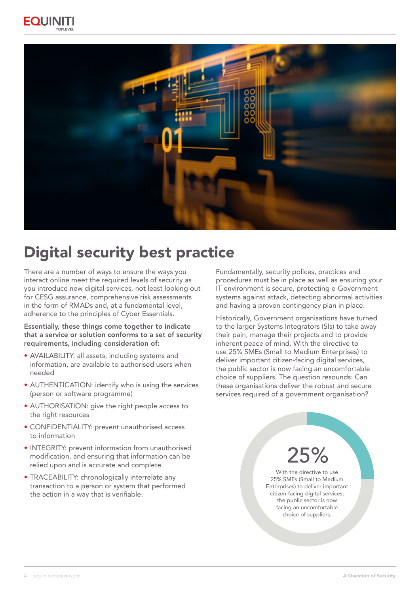



## Digital security best practice

There are a number of ways to ensure the ways you interact online meet the required levels of security as you introduce new digital services, not least looking out for CESG assurance, comprehensive risk assessments in the form of RMADs and, at a fundamental level, adherence to the principles of Cyber Essentials.

#### Essentially, these things come together to indicate that a service or solution conforms to a set of security requirements, including consideration of:

- AVAILABILITY: all assets, including systems and information, are available to authorised users when needed
- AUTHENTICATION: identify who is using the services (person or software programme)
- AUTHORISATION: give the right people access to the right resources
- CONFIDENTIALITY: prevent unauthorised access to information
- INTEGRITY: prevent information from unauthorised modification, and ensuring that information can be relied upon and is accurate and complete
- TRACEABILITY: chronologically interrelate any transaction to a person or system that performed the action in a way that is verifiable.

Fundamentally, security polices, practices and procedures must be in place as well as ensuring your IT environment is secure, protecting e-Government systems against attack, detecting abnormal activities and having a proven contingency plan in place.

Historically, Government organisations have turned to the larger Systems Integrators (SIs) to take away their pain, manage their projects and to provide inherent peace of mind. With the directive to use 25% SMEs (Small to Medium Enterprises) to deliver important citizen-facing digital services, the public sector is now facing an uncomfortable choice of suppliers. The question resounds: Can these organisations deliver the robust and secure services required of a government organisation?

# 25%

With the directive to use 25% SMEs (Small to Medium Enterprises) to deliver important citizen-facing digital services, the public sector is now facing an uncomfortable choice of suppliers.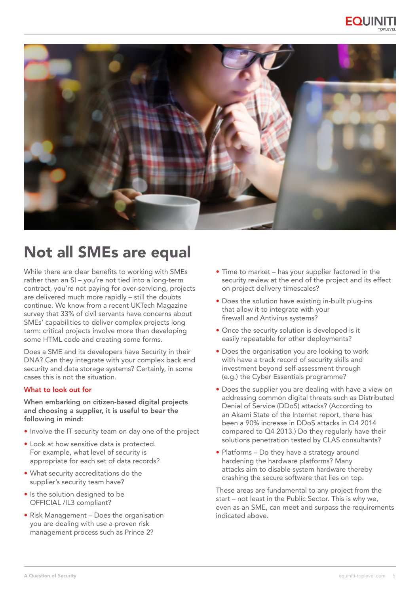



## Not all SMEs are equal

While there are clear benefits to working with SMEs rather than an SI – you're not tied into a long-term contract, you're not paying for over-servicing, projects are delivered much more rapidly – still the doubts continue. We know from a recent UKTech Magazine survey that 33% of civil servants have concerns about SMEs' capabilities to deliver complex projects long term: critical projects involve more than developing some HTML code and creating some forms.

Does a SME and its developers have Security in their DNA? Can they integrate with your complex back end security and data storage systems? Certainly, in some cases this is not the situation.

#### What to look out for

When embarking on citizen-based digital projects and choosing a supplier, it is useful to bear the following in mind:

- Involve the IT security team on day one of the project
- Look at how sensitive data is protected. For example, what level of security is appropriate for each set of data records?
- What security accreditations do the supplier's security team have?
- Is the solution designed to be OFFICIAL /IL3 compliant?
- Risk Management Does the organisation you are dealing with use a proven risk management process such as Prince 2?
- Time to market has your supplier factored in the security review at the end of the project and its effect on project delivery timescales?
- Does the solution have existing in-built plug-ins that allow it to integrate with your firewall and Antivirus systems?
- Once the security solution is developed is it easily repeatable for other deployments?
- Does the organisation you are looking to work with have a track record of security skills and investment beyond self-assessment through (e.g.) the Cyber Essentials programme?
- Does the supplier you are dealing with have a view on addressing common digital threats such as Distributed Denial of Service (DDoS) attacks? (According to an Akami State of the Internet report, there has been a 90% increase in DDoS attacks in Q4 2014 compared to Q4 2013.) Do they regularly have their solutions penetration tested by CLAS consultants?
- Platforms Do they have a strategy around hardening the hardware platforms? Many attacks aim to disable system hardware thereby crashing the secure software that lies on top.

These areas are fundamental to any project from the start – not least in the Public Sector. This is why we, even as an SME, can meet and surpass the requirements indicated above.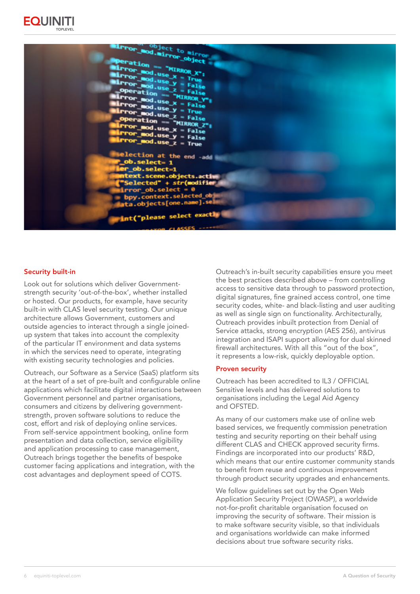



#### Security built-in

Look out for solutions which deliver Governmentstrength security 'out-of-the-box', whether installed or hosted. Our products, for example, have security built-in with CLAS level security testing. Our unique architecture allows Government, customers and outside agencies to interact through a single joinedup system that takes into account the complexity of the particular IT environment and data systems in which the services need to operate, integrating with existing security technologies and policies.

Outreach, our Software as a Service (SaaS) platform sits at the heart of a set of pre-built and configurable online applications which facilitate digital interactions between Government personnel and partner organisations, consumers and citizens by delivering governmentstrength, proven software solutions to reduce the cost, effort and risk of deploying online services. From self-service appointment booking, online form presentation and data collection, service eligibility and application processing to case management, Outreach brings together the benefits of bespoke customer facing applications and integration, with the cost advantages and deployment speed of COTS.

Outreach's in-built security capabilities ensure you meet the best practices described above – from controlling access to sensitive data through to password protection, digital signatures, fine grained access control, one time security codes, white- and black-listing and user auditing as well as single sign on functionality. Architecturally, Outreach provides inbuilt protection from Denial of Service attacks, strong encryption (AES 256), antivirus integration and ISAPI support allowing for dual skinned firewall architectures. With all this "out of the box", it represents a low-risk, quickly deployable option.

#### Proven security

Outreach has been accredited to IL3 / OFFICIAL Sensitive levels and has delivered solutions to organisations including the Legal Aid Agency and OFSTED.

As many of our customers make use of online web based services, we frequently commission penetration testing and security reporting on their behalf using different CLAS and CHECK approved security firms. Findings are incorporated into our products' R&D, which means that our entire customer community stands to benefit from reuse and continuous improvement through product security upgrades and enhancements.

We follow guidelines set out by the Open Web Application Security Project (OWASP), a worldwide not-for-profit charitable organisation focused on improving the security of software. Their mission is to make software security visible, so that individuals and organisations worldwide can make informed decisions about true software security risks.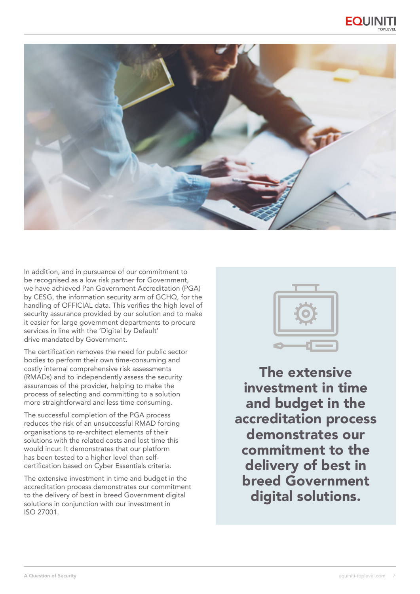



In addition, and in pursuance of our commitment to be recognised as a low risk partner for Government, we have achieved Pan Government Accreditation (PGA) by CESG, the information security arm of GCHQ, for the handling of OFFICIAL data. This verifies the high level of security assurance provided by our solution and to make it easier for large government departments to procure services in line with the 'Digital by Default' drive mandated by Government.

The certification removes the need for public sector bodies to perform their own time-consuming and costly internal comprehensive risk assessments (RMADs) and to independently assess the security assurances of the provider, helping to make the process of selecting and committing to a solution more straightforward and less time consuming.

The successful completion of the PGA process reduces the risk of an unsuccessful RMAD forcing organisations to re-architect elements of their solutions with the related costs and lost time this would incur. It demonstrates that our platform has been tested to a higher level than selfcertification based on Cyber Essentials criteria.

The extensive investment in time and budget in the accreditation process demonstrates our commitment to the delivery of best in breed Government digital solutions in conjunction with our investment in ISO 27001.



The extensive investment in time and budget in the accreditation process demonstrates our commitment to the delivery of best in breed Government digital solutions.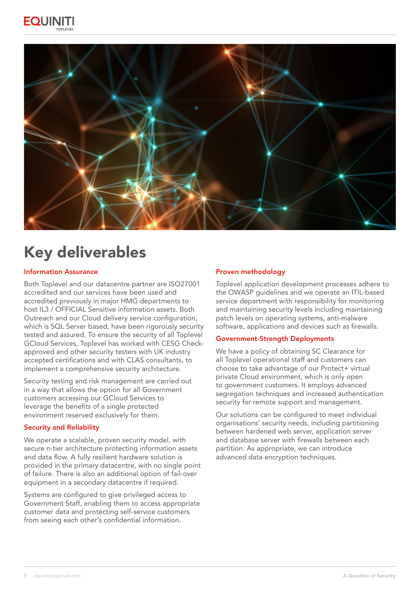



## Key deliverables

#### Information Assurance

Both Toplevel and our datacentre partner are ISO27001 accredited and our services have been used and accredited previously in major HMG departments to host IL3 / OFFICIAL Sensitive information assets. Both Outreach and our Cloud delivery service configuration, which is SQL Server based, have been rigorously security tested and assured. To ensure the security of all Toplevel GCloud Services, Toplevel has worked with CESG Checkapproved and other security testers with UK industry accepted certifications and with CLAS consultants, to implement a comprehensive security architecture.

Security testing and risk management are carried out in a way that allows the option for all Government customers accessing our GCloud Services to leverage the benefits of a single protected environment reserved exclusively for them.

#### Security and Reliability

We operate a scalable, proven security model, with secure n-tier architecture protecting information assets and data flow. A fully resilient hardware solution is provided in the primary datacentre, with no single point of failure. There is also an additional option of fail-over equipment in a secondary datacentre if required.

Systems are configured to give privileged access to Government Staff, enabling them to access appropriate customer data and protecting self-service customers from seeing each other's confidential information.

#### Proven methodology

Toplevel application development processes adhere to the OWASP guidelines and we operate an ITIL-based service department with responsibility for monitoring and maintaining security levels including maintaining patch levels on operating systems, anti-malware software, applications and devices such as firewalls.

#### Government-Strength Deployments

We have a policy of obtaining SC Clearance for all Toplevel operational staff and customers can choose to take advantage of our Protect+ virtual private Cloud environment, which is only open to government customers. It employs advanced segregation techniques and increased authentication security for remote support and management.

Our solutions can be configured to meet individual organisations' security needs, including partitioning between hardened web server, application server and database server with firewalls between each partition. As appropriate, we can introduce advanced data encryption techniques.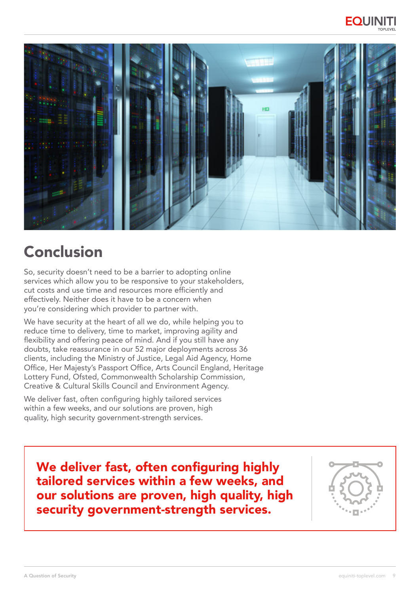



## Conclusion

So, security doesn't need to be a barrier to adopting online services which allow you to be responsive to your stakeholders, cut costs and use time and resources more efficiently and effectively. Neither does it have to be a concern when you're considering which provider to partner with.

We have security at the heart of all we do, while helping you to reduce time to delivery, time to market, improving agility and flexibility and offering peace of mind. And if you still have any doubts, take reassurance in our 52 major deployments across 36 clients, including the Ministry of Justice, Legal Aid Agency, Home Office, Her Majesty's Passport Office, Arts Council England, Heritage Lottery Fund, Ofsted, Commonwealth Scholarship Commission, Creative & Cultural Skills Council and Environment Agency.

We deliver fast, often configuring highly tailored services within a few weeks, and our solutions are proven, high quality, high security government-strength services.

We deliver fast, often configuring highly tailored services within a few weeks, and our solutions are proven, high quality, high security government-strength services.